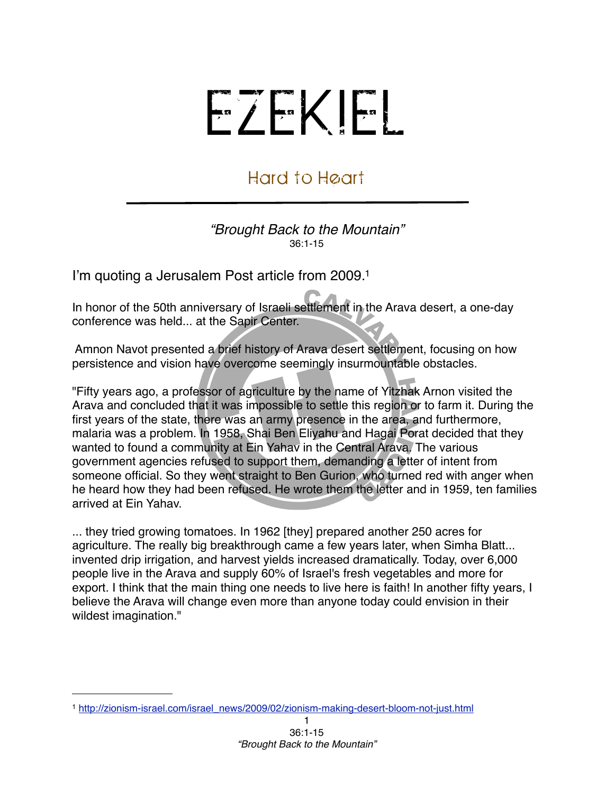## EZEKIEL

## Hard to Heart

*"Brought Back to the Mountain"* 36:1-15

I'm quoting a Jerusalem Post article from 2009[.1](#page-0-0)

In honor of the 50th anniversary of Israeli settlement in the Arava desert, a one-day conference was held... at the Sapir Center.

 Amnon Navot presented a brief history of Arava desert settlement, focusing on how persistence and vision have overcome seemingly insurmountable obstacles.

"Fifty years ago, a professor of agriculture by the name of Yitzhak Arnon visited the Arava and concluded that it was impossible to settle this region or to farm it. During the first years of the state, there was an army presence in the area, and furthermore, malaria was a problem. In 1958, Shai Ben Eliyahu and Hagai Porat decided that they wanted to found a community at Ein Yahav in the Central Arava. The various government agencies refused to support them, demanding a letter of intent from someone official. So they went straight to Ben Gurion, who turned red with anger when he heard how they had been refused. He wrote them the letter and in 1959, ten families arrived at Ein Yahav.

... they tried growing tomatoes. In 1962 [they] prepared another 250 acres for agriculture. The really big breakthrough came a few years later, when Simha Blatt... invented drip irrigation, and harvest yields increased dramatically. Today, over 6,000 people live in the Arava and supply 60% of Israel's fresh vegetables and more for export. I think that the main thing one needs to live here is faith! In another fifty years, I believe the Arava will change even more than anyone today could envision in their wildest imagination."

<span id="page-0-0"></span><sup>1</sup> [http://zionism-israel.com/israel\\_news/2009/02/zionism-making-desert-bloom-not-just.html](http://zionism-israel.com/israel_news/2009/02/zionism-making-desert-bloom-not-just.html)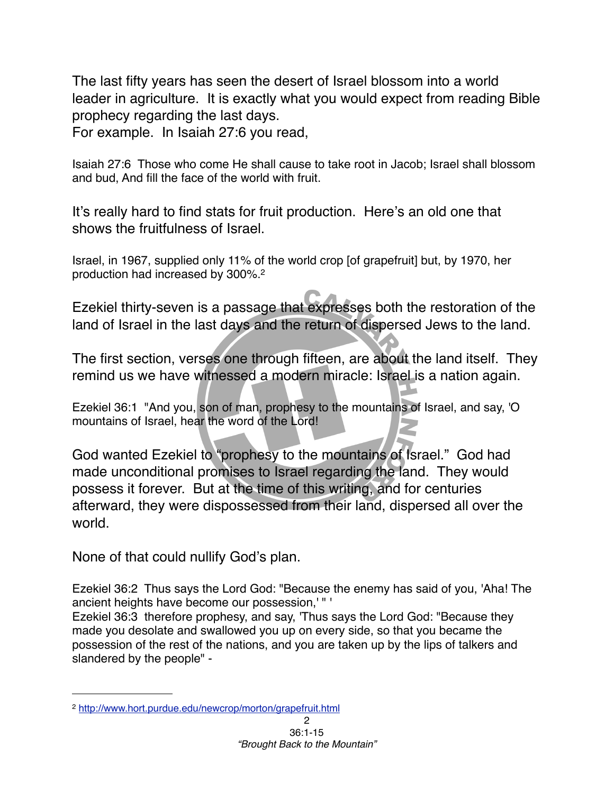The last fifty years has seen the desert of Israel blossom into a world leader in agriculture. It is exactly what you would expect from reading Bible prophecy regarding the last days.

For example. In Isaiah 27:6 you read,

Isaiah 27:6 Those who come He shall cause to take root in Jacob; Israel shall blossom and bud, And fill the face of the world with fruit.

It's really hard to find stats for fruit production. Here's an old one that shows the fruitfulness of Israel.

Israel, in 1967, supplied only 11% of the world crop [of grapefruit] but, by 1970, her production had increased by 300%[.2](#page-1-0)

Ezekiel thirty-seven is a passage that expresses both the restoration of the land of Israel in the last days and the return of dispersed Jews to the land.

The first section, verses one through fifteen, are about the land itself. They remind us we have witnessed a modern miracle: Israel is a nation again.

Ezekiel 36:1 "And you, son of man, prophesy to the mountains of Israel, and say, 'O mountains of Israel, hear the word of the Lord!

God wanted Ezekiel to "prophesy to the mountains of Israel." God had made unconditional promises to Israel regarding the land. They would possess it forever. But at the time of this writing, and for centuries afterward, they were dispossessed from their land, dispersed all over the world.

None of that could nullify God's plan.

Ezekiel 36:2 Thus says the Lord God: "Because the enemy has said of you, 'Aha! The ancient heights have become our possession,' " '

Ezekiel 36:3 therefore prophesy, and say, 'Thus says the Lord God: "Because they made you desolate and swallowed you up on every side, so that you became the possession of the rest of the nations, and you are taken up by the lips of talkers and slandered by the people" -

<span id="page-1-0"></span><sup>2</sup> <http://www.hort.purdue.edu/newcrop/morton/grapefruit.html>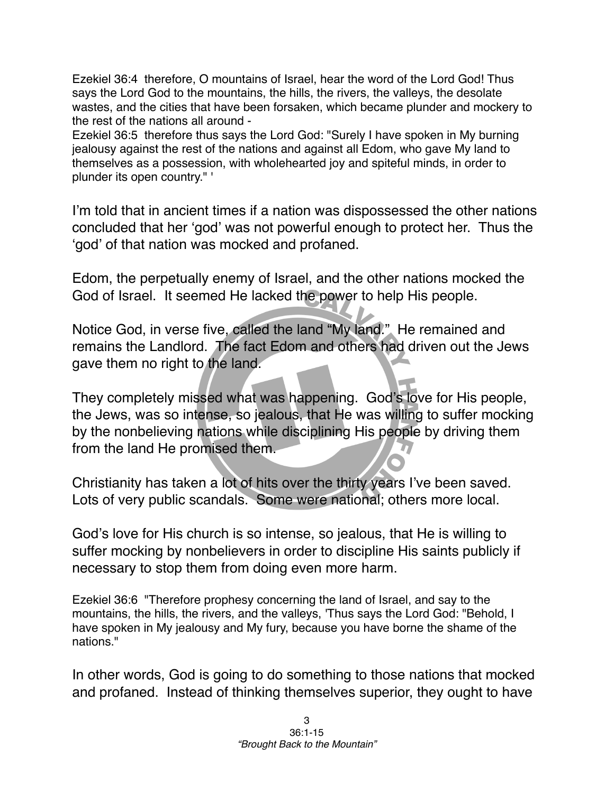Ezekiel 36:4 therefore, O mountains of Israel, hear the word of the Lord God! Thus says the Lord God to the mountains, the hills, the rivers, the valleys, the desolate wastes, and the cities that have been forsaken, which became plunder and mockery to the rest of the nations all around -

Ezekiel 36:5 therefore thus says the Lord God: "Surely I have spoken in My burning jealousy against the rest of the nations and against all Edom, who gave My land to themselves as a possession, with wholehearted joy and spiteful minds, in order to plunder its open country." '

I'm told that in ancient times if a nation was dispossessed the other nations concluded that her ʻgod' was not powerful enough to protect her. Thus the ʻgod' of that nation was mocked and profaned.

Edom, the perpetually enemy of Israel, and the other nations mocked the God of Israel. It seemed He lacked the power to help His people.

Notice God, in verse five, called the land "My land." He remained and remains the Landlord. The fact Edom and others had driven out the Jews gave them no right to the land.

They completely missed what was happening. God's love for His people, the Jews, was so intense, so jealous, that He was willing to suffer mocking by the nonbelieving nations while disciplining His people by driving them from the land He promised them.

Christianity has taken a lot of hits over the thirty years I've been saved. Lots of very public scandals. Some were national; others more local.

God's love for His church is so intense, so jealous, that He is willing to suffer mocking by nonbelievers in order to discipline His saints publicly if necessary to stop them from doing even more harm.

Ezekiel 36:6 "Therefore prophesy concerning the land of Israel, and say to the mountains, the hills, the rivers, and the valleys, 'Thus says the Lord God: "Behold, I have spoken in My jealousy and My fury, because you have borne the shame of the nations."

In other words, God is going to do something to those nations that mocked and profaned. Instead of thinking themselves superior, they ought to have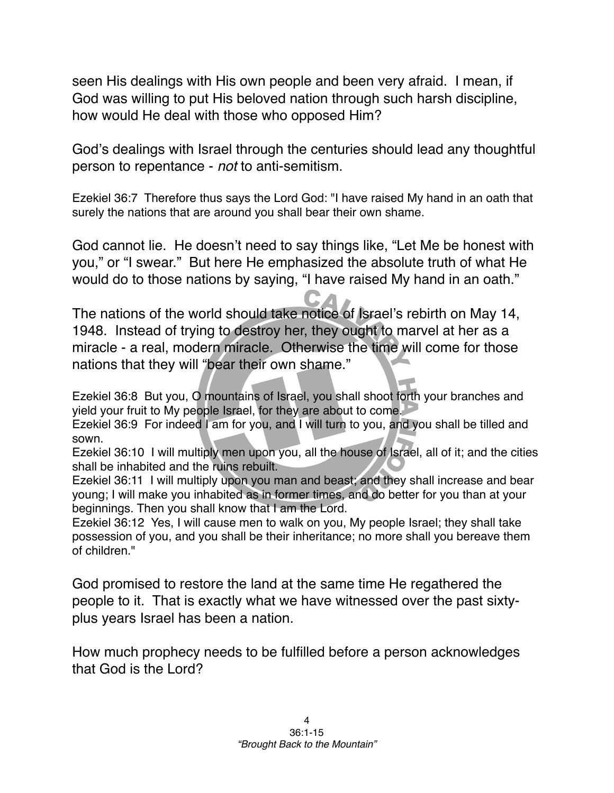seen His dealings with His own people and been very afraid. I mean, if God was willing to put His beloved nation through such harsh discipline, how would He deal with those who opposed Him?

God's dealings with Israel through the centuries should lead any thoughtful person to repentance - *not* to anti-semitism.

Ezekiel 36:7 Therefore thus says the Lord God: "I have raised My hand in an oath that surely the nations that are around you shall bear their own shame.

God cannot lie. He doesn't need to say things like, "Let Me be honest with you," or "I swear." But here He emphasized the absolute truth of what He would do to those nations by saying, "I have raised My hand in an oath."

The nations of the world should take notice of Israel's rebirth on May 14, 1948. Instead of trying to destroy her, they ought to marvel at her as a miracle - a real, modern miracle. Otherwise the time will come for those nations that they will "bear their own shame."

Ezekiel 36:8 But you, O mountains of Israel, you shall shoot forth your branches and yield your fruit to My people Israel, for they are about to come.

Ezekiel 36:9 For indeed I am for you, and I will turn to you, and you shall be tilled and sown.

Ezekiel 36:10 I will multiply men upon you, all the house of Israel, all of it; and the cities shall be inhabited and the ruins rebuilt.

Ezekiel 36:11 I will multiply upon you man and beast; and they shall increase and bear young; I will make you inhabited as in former times, and do better for you than at your beginnings. Then you shall know that I am the Lord.

Ezekiel 36:12 Yes, I will cause men to walk on you, My people Israel; they shall take possession of you, and you shall be their inheritance; no more shall you bereave them of children."

God promised to restore the land at the same time He regathered the people to it. That is exactly what we have witnessed over the past sixtyplus years Israel has been a nation.

How much prophecy needs to be fulfilled before a person acknowledges that God is the Lord?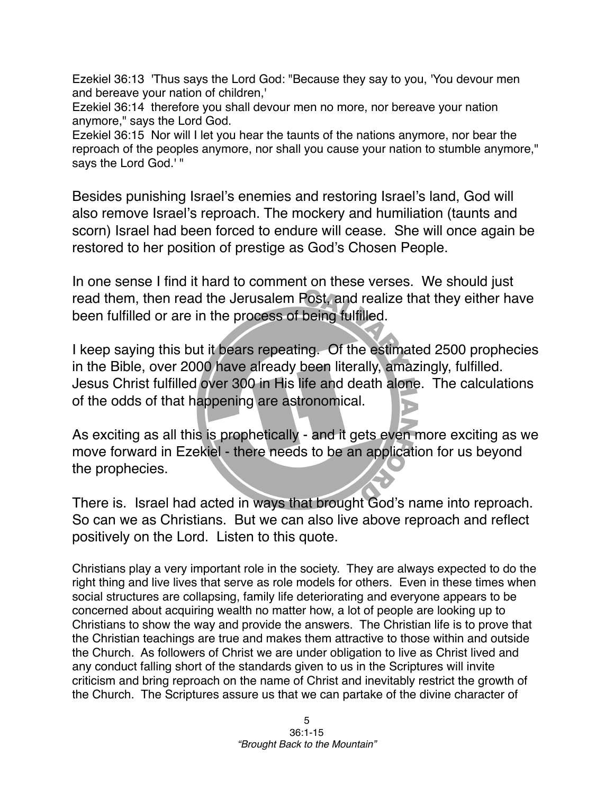Ezekiel 36:13 'Thus says the Lord God: "Because they say to you, 'You devour men and bereave your nation of children,'

Ezekiel 36:14 therefore you shall devour men no more, nor bereave your nation anymore," says the Lord God.

Ezekiel 36:15 Nor will I let you hear the taunts of the nations anymore, nor bear the reproach of the peoples anymore, nor shall you cause your nation to stumble anymore," says the Lord God.' "

Besides punishing Israel's enemies and restoring Israel's land, God will also remove Israel's reproach. The mockery and humiliation (taunts and scorn) Israel had been forced to endure will cease. She will once again be restored to her position of prestige as God's Chosen People.

In one sense I find it hard to comment on these verses. We should just read them, then read the Jerusalem Post, and realize that they either have been fulfilled or are in the process of being fulfilled.

I keep saying this but it bears repeating. Of the estimated 2500 prophecies in the Bible, over 2000 have already been literally, amazingly, fulfilled. Jesus Christ fulfilled over 300 in His life and death alone. The calculations of the odds of that happening are astronomical.

As exciting as all this is prophetically - and it gets even more exciting as we move forward in Ezekiel - there needs to be an application for us beyond the prophecies.

There is. Israel had acted in ways that brought God's name into reproach. So can we as Christians. But we can also live above reproach and reflect positively on the Lord. Listen to this quote.

Christians play a very important role in the society. They are always expected to do the right thing and live lives that serve as role models for others. Even in these times when social structures are collapsing, family life deteriorating and everyone appears to be concerned about acquiring wealth no matter how, a lot of people are looking up to Christians to show the way and provide the answers. The Christian life is to prove that the Christian teachings are true and makes them attractive to those within and outside the Church. As followers of Christ we are under obligation to live as Christ lived and any conduct falling short of the standards given to us in the Scriptures will invite criticism and bring reproach on the name of Christ and inevitably restrict the growth of the Church. The Scriptures assure us that we can partake of the divine character of